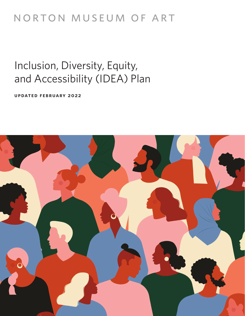## NORTON MUSEUM OF ART

# Inclusion, Diversity, Equity, and Accessibility (IDEA) Plan

**updated february 2022**

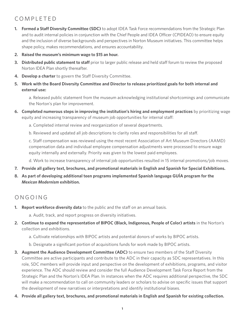## completed

- **1. Formed a Staff Diversity Committee (SDC)** to adopt IDEA Task Force recommendations from the Strategic Plan and to audit internal policies in conjunction with the Chief People and IDEA Officer (CPIDEAO) to ensure equity and the inclusion of diverse backgrounds and perspectives in Norton Museum initiatives. This committee helps shape policy, makes recommendations, and ensures accountability.
- **2. Raised the museum's minimum wage to \$15 an hour.**
- **3.** Distributed public statement to staff prior to larger public release and held staff forum to review the proposed Norton IDEA Plan shortly thereafter.
- **4. Develop a charter** to govern the Staff Diversity Committee.
- **5. Work with the Board Diversity Committee and Director to release prioritized goals for both internal and external use:**

a. Released public statement from the museum acknowledging institutional shortcomings and communicate the Norton's plan for improvement.

- **6. Completed numerous steps in improving the institution's hiring and employment practices** by prioritizing wage equity and increasing transparency of museum job opportunities for internal staff:
	- a. Completed internal review and reorganization of several departments.
	- b. Reviewed and updated all job descriptions to clarity roles and responsibilities for all staff.

c. Staff compensation was reviewed using the most recent Association of Art Museum Directors (AAMD) compensation data and individual employee compensation adjustments were processed to ensure wage equity internally and externally. Priority was given to the lowest paid employees.

d. Work to increase transparency of internal job opportunities resulted in 15 internal promotions/job moves.

- **7. Provide all gallery text, brochures, and promotional materials in English and Spanish for Special Exhibitions.**
- **8. As part of developing additional teen programs implemented Spanish language GUÍA program for the**  *Mexican Modernism* **exhibition.**

## ongoing

**1. Report workforce diversity data** to the public and the staff on an annual basis.

a. Audit, track, and report progress on diversity initiatives.

- **2. Continue to expand the representation of BIPOC (Black, Indigenous, People of Color) artists** in the Norton's collection and exhibitions.
	- a. Cultivate relationships with BIPOC artists and potential donors of works by BIPOC artists.
	- b. Designate a significant portion of acquisitions funds for work made by BIPOC artists.
- **3. Augment the Audience Development Committee (ADC)** to ensure two members of the Staff Diversity Committee are active participants and contribute to the ADC in their capacity as SDC representatives. In this role, SDC members will provide input and perspective on the development of exhibitions, programs, and visitor experience. The ADC should review and consider the full Audience Development Task Force Report from the Strategic Plan and the Norton's IDEA Plan. In instances when the ADC requires additional perspective, the SDC will make a recommendation to call on community leaders or scholars to advise on specific issues that support the development of new narratives or interpretations and identify institutional biases.
- **4. Provide all gallery text, brochures, and promotional materials in English and Spanish for existing collection.**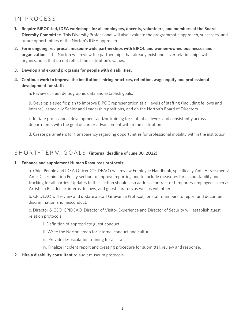## in process

- **1. Require BIPOC-led, IDEA workshops for all employees, docents, volunteers, and members of the Board Diversity Committee.** This Diversity Professional will also evaluate the programmatic approach, successes, and future opportunities of the Norton's IDEA approach.
- **2. Form ongoing, reciprocal, museum-wide partnerships with BIPOC and women-owned businesses and organizations.** The Norton will review the partnerships that already exist and sever relationships with organizations that do not reflect the institution's values.
- **3. Develop and expand programs for people with disabilities.**
- **4. Continue work to improve the institution's hiring practices, retention, wage equity and professional development for staff:**
	- a. Review current demographic data and establish goals.

b. Develop a specific plan to improve BIPOC representation at all levels of staffing (including fellows and interns), especially Senior and Leadership positions, and on the Norton's Board of Directors.

c. Initiate professional development and/or training for staff at all levels and consistently across departments with the goal of career advancement within the institution.

d. Create parameters for transparency regarding opportunities for professional mobility within the institution.

## SHORT-TFRM GOALS (internal deadline of June 30, 2022)

#### **1. Enhance and supplement Human Resources protocols:**

a. Chief People and IDEA Officer (CPIDEAO) will review Employee Handbook, specifically Anti-Harassment/ Anti-Discrimination Policy section to improve reporting and to include measures for accountability and tracking for all parties. Updates to this section should also address contract or temporary employees such as Artists in Residence, interns, fellows, and guest curators as well as volunteers.

b. CPIDEAO will review and update a Staff Grievance Protocol, for staff members to report and document discrimination and misconduct.

c. Director & CEO, CPIDEAO, Director of Visitor Experience and Director of Security will establish guest relation protocols:

- i. Definition of appropriate guest conduct.
- ii. Write the Norton credo for internal conduct and culture.
- iii. Provide de-escalation training for all staff.
- iv. Finalize incident report and creating procedure for submittal, review and response.

#### **2. Hire a disability consultant** to audit museum protocols.